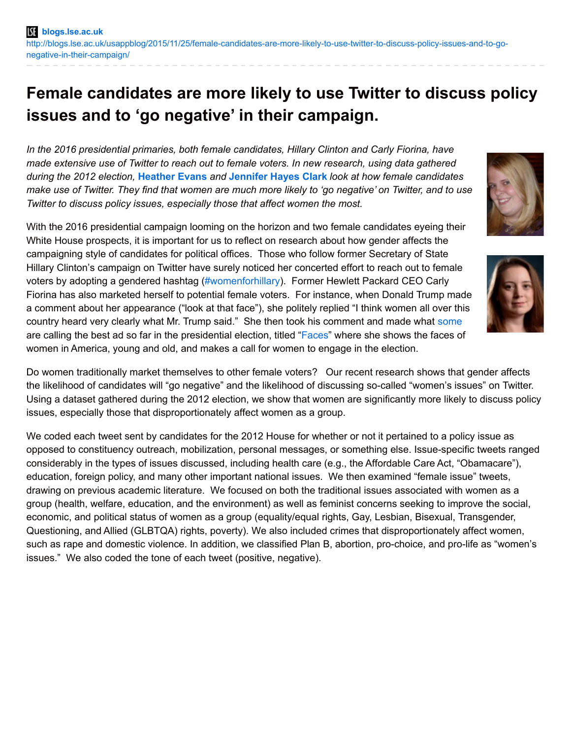## **Female candidates are more likely to use Twitter to discuss policy issues and to 'go negative' in their campaign.**

*In the 2016 presidential primaries, both female candidates, Hillary Clinton and Carly Fiorina, have made extensive use of Twitter to reach out to female voters. In new research, using data gathered during the 2012 election,* **[Heather](http://wp.me/p3I2YF-4vG#Author) Evans** *and* **[Jennifer](http://wp.me/p3I2YF-4vG#Author) Hayes Clark** *look at how female candidates* make use of Twitter. They find that women are much more likely to 'go negative' on Twitter, and to use *Twitter to discuss policy issues, especially those that affect women the most.*

With the 2016 presidential campaign looming on the horizon and two female candidates eyeing their White House prospects, it is important for us to reflect on research about how gender affects the campaigning style of candidates for political offices. Those who follow former Secretary of State Hillary Clinton's campaign on Twitter have surely noticed her concerted effort to reach out to female voters by adopting a gendered hashtag [\(#womenforhillary](https://twitter.com/search?q=%23womenforhillary&src=typd)). Former Hewlett Packard CEO Carly Fiorina has also marketed herself to potential female voters. For instance, when Donald Trump made a comment about her appearance ("look at that face"), she politely replied "I think women all over this country heard very clearly what Mr. Trump said." She then took his comment and made what [some](https://www.washingtonpost.com/news/the-fix/wp/2015/09/14/this-ad-for-carly-fiorina-is-the-best-of-the-2016-campaign-so-far/) are calling the best ad so far in the presidential election, titled ["Faces](https://www.youtube.com/watch?v=ODfUOnw2x0g)" where she shows the faces of women in America, young and old, and makes a call for women to engage in the election.

Do women traditionally market themselves to other female voters? Our recent research shows that gender affects the likelihood of candidates will "go negative" and the likelihood of discussing so-called "women's issues" on Twitter. Using a dataset gathered during the 2012 election, we show that women are significantly more likely to discuss policy issues, especially those that disproportionately affect women as a group.

We coded each tweet sent by candidates for the 2012 House for whether or not it pertained to a policy issue as opposed to constituency outreach, mobilization, personal messages, or something else. Issue-specific tweets ranged considerably in the types of issues discussed, including health care (e.g., the Affordable Care Act, "Obamacare"), education, foreign policy, and many other important national issues. We then examined "female issue" tweets, drawing on previous academic literature. We focused on both the traditional issues associated with women as a group (health, welfare, education, and the environment) as well as feminist concerns seeking to improve the social, economic, and political status of women as a group (equality/equal rights, Gay, Lesbian, Bisexual, Transgender, Questioning, and Allied (GLBTQA) rights, poverty). We also included crimes that disproportionately affect women, such as rape and domestic violence. In addition, we classified Plan B, abortion, pro-choice, and pro-life as "women's issues." We also coded the tone of each tweet (positive, negative).



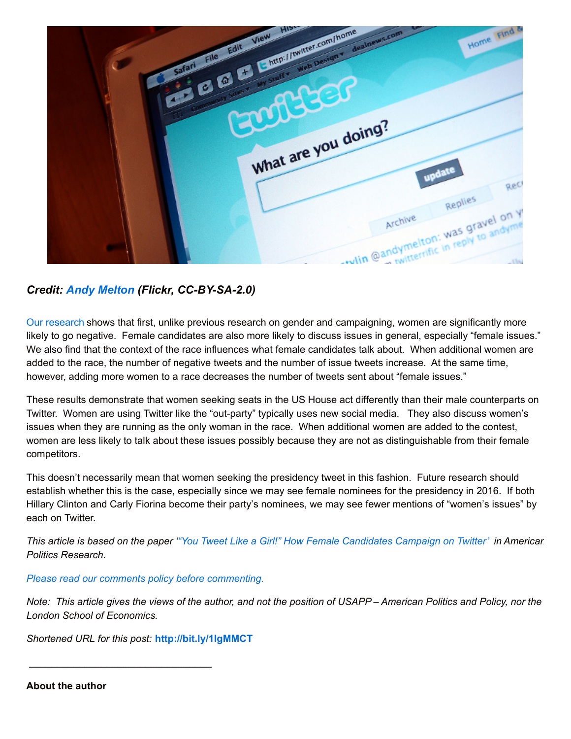|   |                                                                                 | Home Find &                        |
|---|---------------------------------------------------------------------------------|------------------------------------|
|   | C & C Line http://www.com/home<br>with Scopy My Stuffy Wab Designy dealnews.com |                                    |
|   |                                                                                 |                                    |
|   |                                                                                 |                                    |
|   |                                                                                 |                                    |
|   | What are you doing?                                                             |                                    |
|   |                                                                                 |                                    |
|   |                                                                                 | update<br>Rec                      |
|   |                                                                                 | Replies                            |
|   |                                                                                 | tulin mandymelton: was gravel on y |
| m |                                                                                 |                                    |
|   |                                                                                 |                                    |

*Credit: Andy [Melton](https://www.flickr.com/photos/trekkyandy/2247781640) (Flickr, CC-BY-SA-2.0)*

Our [research](http://apr.sagepub.com/content/early/2015/08/20/1532673X15597747.abstract) shows that first, unlike previous research on gender and campaigning, women are significantly more likely to go negative. Female candidates are also more likely to discuss issues in general, especially "female issues." We also find that the context of the race influences what female candidates talk about. When additional women are added to the race, the number of negative tweets and the number of issue tweets increase. At the same time, however, adding more women to a race decreases the number of tweets sent about "female issues."

These results demonstrate that women seeking seats in the US House act differently than their male counterparts on Twitter. Women are using Twitter like the "out-party" typically uses new social media. They also discuss women's issues when they are running as the only woman in the race. When additional women are added to the contest, women are less likely to talk about these issues possibly because they are not as distinguishable from their female competitors.

This doesn't necessarily mean that women seeking the presidency tweet in this fashion. Future research should establish whether this is the case, especially since we may see female nominees for the presidency in 2016. If both Hillary Clinton and Carly Fiorina become their party's nominees, we may see fewer mentions of "women's issues" by each on Twitter.

This article is based on the paper "You Tweet Like a Girl!" How Female [Candidates](http://apr.sagepub.com/content/early/2015/08/20/1532673X15597747.abstract) Campaign on Twitter' in Americar. *Politics Research.*

*Please read our comments policy before [commenting.](http://blogs.lse.ac.uk/usappblog/comments-policy/)*

Note: This article gives the views of the author, and not the position of USAPP-American Politics and Policy, nor the *London School of Economics.*

*Shortened URL for this post:* **<http://bit.ly/1IgMMCT>**

\_\_\_\_\_\_\_\_\_\_\_\_\_\_\_\_\_\_\_\_\_\_\_\_\_\_\_\_\_\_\_\_\_